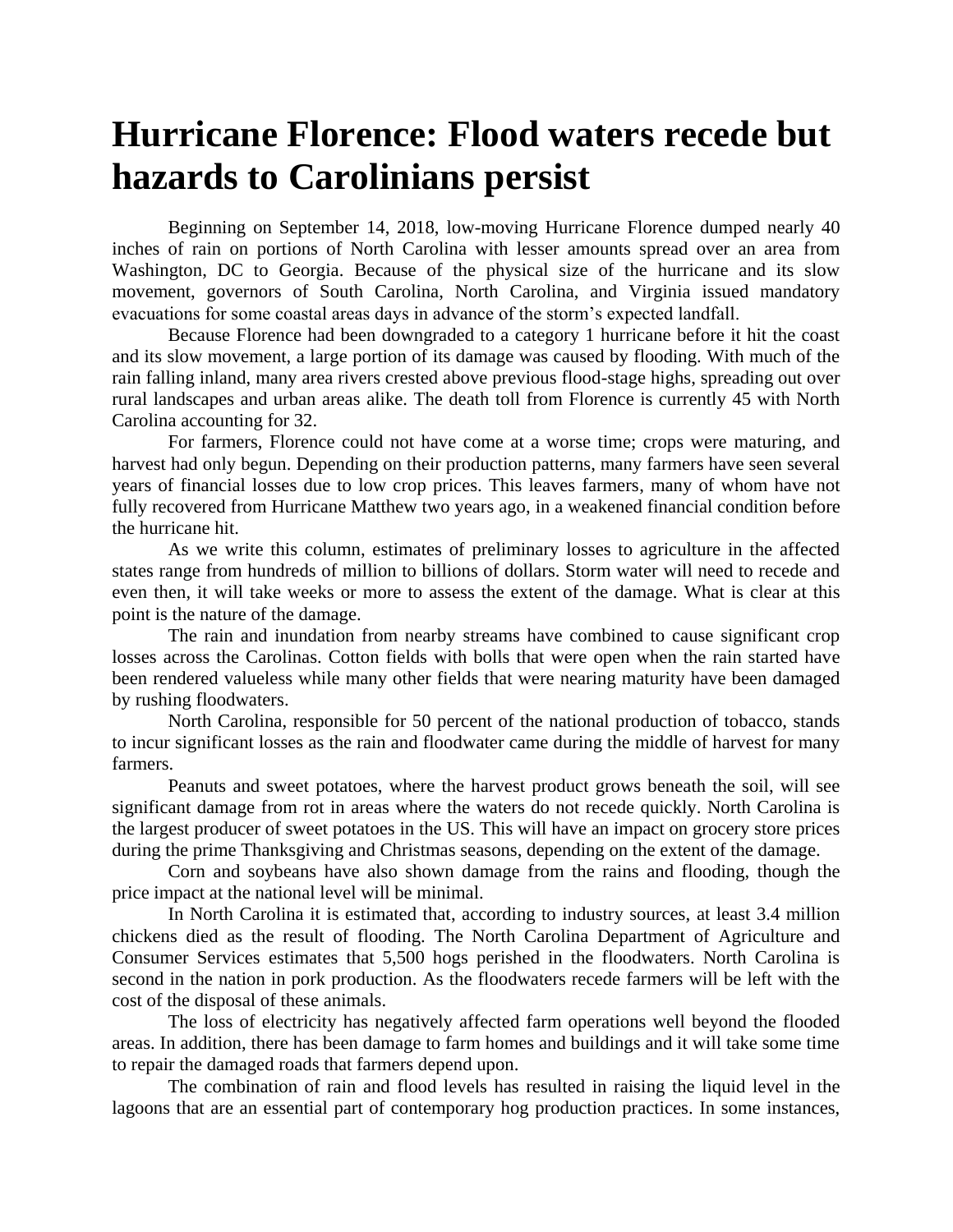## **Hurricane Florence: Flood waters recede but hazards to Carolinians persist**

Beginning on September 14, 2018, low-moving Hurricane Florence dumped nearly 40 inches of rain on portions of North Carolina with lesser amounts spread over an area from Washington, DC to Georgia. Because of the physical size of the hurricane and its slow movement, governors of South Carolina, North Carolina, and Virginia issued mandatory evacuations for some coastal areas days in advance of the storm's expected landfall.

Because Florence had been downgraded to a category 1 hurricane before it hit the coast and its slow movement, a large portion of its damage was caused by flooding. With much of the rain falling inland, many area rivers crested above previous flood-stage highs, spreading out over rural landscapes and urban areas alike. The death toll from Florence is currently 45 with North Carolina accounting for 32.

For farmers, Florence could not have come at a worse time; crops were maturing, and harvest had only begun. Depending on their production patterns, many farmers have seen several years of financial losses due to low crop prices. This leaves farmers, many of whom have not fully recovered from Hurricane Matthew two years ago, in a weakened financial condition before the hurricane hit.

As we write this column, estimates of preliminary losses to agriculture in the affected states range from hundreds of million to billions of dollars. Storm water will need to recede and even then, it will take weeks or more to assess the extent of the damage. What is clear at this point is the nature of the damage.

The rain and inundation from nearby streams have combined to cause significant crop losses across the Carolinas. Cotton fields with bolls that were open when the rain started have been rendered valueless while many other fields that were nearing maturity have been damaged by rushing floodwaters.

North Carolina, responsible for 50 percent of the national production of tobacco, stands to incur significant losses as the rain and floodwater came during the middle of harvest for many farmers.

Peanuts and sweet potatoes, where the harvest product grows beneath the soil, will see significant damage from rot in areas where the waters do not recede quickly. North Carolina is the largest producer of sweet potatoes in the US. This will have an impact on grocery store prices during the prime Thanksgiving and Christmas seasons, depending on the extent of the damage.

Corn and soybeans have also shown damage from the rains and flooding, though the price impact at the national level will be minimal.

In North Carolina it is estimated that, according to industry sources, at least 3.4 million chickens died as the result of flooding. The North Carolina Department of Agriculture and Consumer Services estimates that 5,500 hogs perished in the floodwaters. North Carolina is second in the nation in pork production. As the floodwaters recede farmers will be left with the cost of the disposal of these animals.

The loss of electricity has negatively affected farm operations well beyond the flooded areas. In addition, there has been damage to farm homes and buildings and it will take some time to repair the damaged roads that farmers depend upon.

The combination of rain and flood levels has resulted in raising the liquid level in the lagoons that are an essential part of contemporary hog production practices. In some instances,